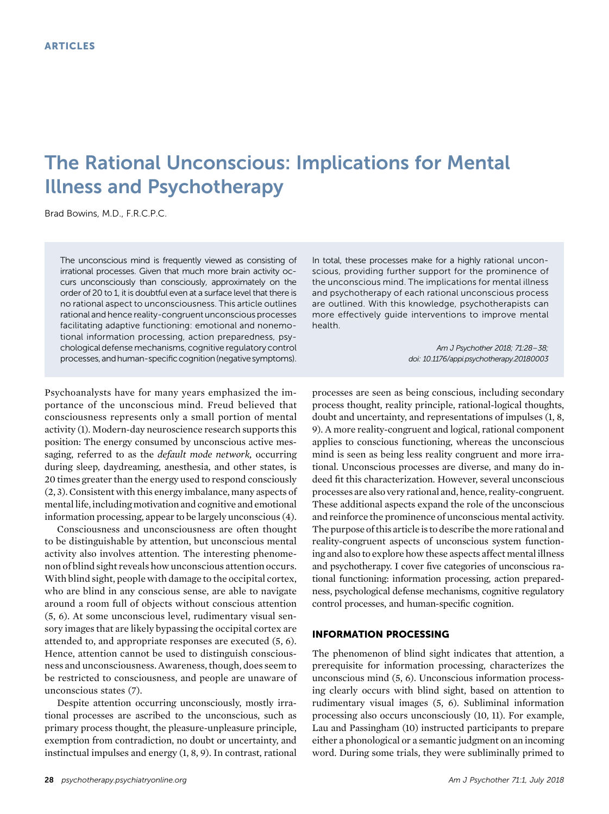# The Rational Unconscious: Implications for Mental Illness and Psychotherapy

Brad Bowins, M.D., F.R.C.P.C.

The unconscious mind is frequently viewed as consisting of irrational processes. Given that much more brain activity occurs unconsciously than consciously, approximately on the order of 20 to 1, it is doubtful even at a surface level that there is no rational aspect to unconsciousness. This article outlines rational and hence reality-congruent unconscious processes facilitating adaptive functioning: emotional and nonemotional information processing, action preparedness, psychological defense mechanisms, cognitive regulatory control processes, andhuman-specific cognition(negative symptoms).

Psychoanalysts have for many years emphasized the importance of the unconscious mind. Freud believed that consciousness represents only a small portion of mental activity (1). Modern-day neuroscience research supports this position: The energy consumed by unconscious active messaging, referred to as the *default mode network*, occurring during sleep, daydreaming, anesthesia, and other states, is 20 times greater than the energy used to respond consciously (2, 3). Consistent with this energy imbalance, many aspects of mental life, including motivation and cognitive and emotional information processing, appear to be largely unconscious (4).

Consciousness and unconsciousness are often thought to be distinguishable by attention, but unconscious mental activity also involves attention. The interesting phenomenon of blind sight reveals how unconscious attention occurs. With blind sight, people with damage to the occipital cortex, who are blind in any conscious sense, are able to navigate around a room full of objects without conscious attention (5, 6). At some unconscious level, rudimentary visual sensory images that are likely bypassing the occipital cortex are attended to, and appropriate responses are executed (5, 6). Hence, attention cannot be used to distinguish consciousness and unconsciousness. Awareness, though, does seem to be restricted to consciousness, and people are unaware of unconscious states (7).

Despite attention occurring unconsciously, mostly irrational processes are ascribed to the unconscious, such as primary process thought, the pleasure-unpleasure principle, exemption from contradiction, no doubt or uncertainty, and instinctual impulses and energy (1, 8, 9). In contrast, rational

In total, these processes make for a highly rational unconscious, providing further support for the prominence of the unconscious mind. The implications for mental illness and psychotherapy of each rational unconscious process are outlined. With this knowledge, psychotherapists can more effectively guide interventions to improve mental health.

> Am J Psychother 2018; 71:28–38; doi: 10.1176/appi.psychotherapy.20180003

processes are seen as being conscious, including secondary process thought, reality principle, rational-logical thoughts, doubt and uncertainty, and representations of impulses (1, 8, 9). A more reality-congruent and logical, rational component applies to conscious functioning, whereas the unconscious mind is seen as being less reality congruent and more irrational. Unconscious processes are diverse, and many do indeed fit this characterization. However, several unconscious processes are also very rational and, hence, reality-congruent. These additional aspects expand the role of the unconscious and reinforce the prominence of unconscious mental activity. The purpose of this article is to describe the more rational and reality-congruent aspects of unconscious system functioning and also to explore how these aspects affect mental illness and psychotherapy. I cover five categories of unconscious rational functioning: information processing, action preparedness, psychological defense mechanisms, cognitive regulatory control processes, and human-specific cognition.

## INFORMATION PROCESSING

The phenomenon of blind sight indicates that attention, a prerequisite for information processing, characterizes the unconscious mind (5, 6). Unconscious information processing clearly occurs with blind sight, based on attention to rudimentary visual images (5, 6). Subliminal information processing also occurs unconsciously (10, 11). For example, Lau and Passingham (10) instructed participants to prepare either a phonological or a semantic judgment on an incoming word. During some trials, they were subliminally primed to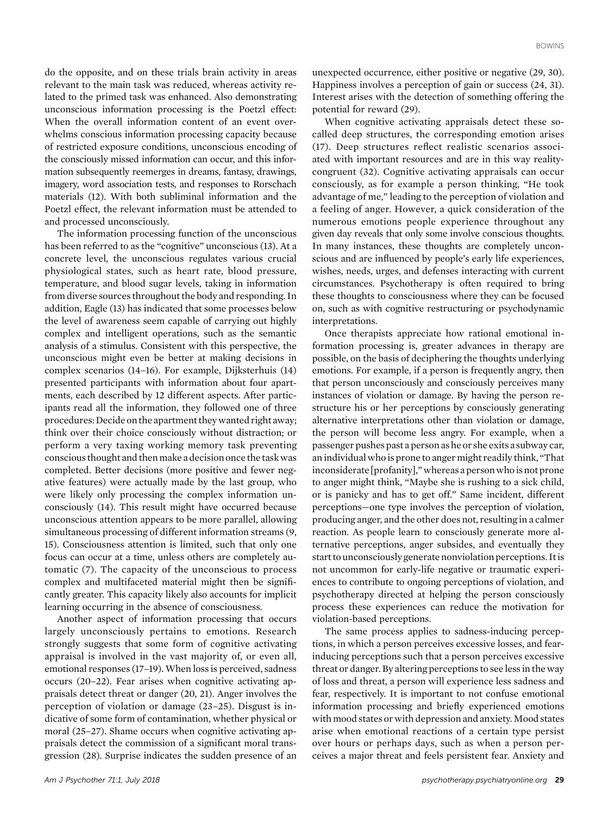do the opposite, and on these trials brain activity in areas relevant to the main task was reduced, whereas activity related to the primed task was enhanced. Also demonstrating unconscious information processing is the Poetzl effect: When the overall information content of an event overwhelms conscious information processing capacity because of restricted exposure conditions, unconscious encoding of the consciously missed information can occur, and this information subsequently reemerges in dreams, fantasy, drawings, imagery, word association tests, and responses to Rorschach materials (12). With both subliminal information and the Poetzl effect, the relevant information must be attended to and processed unconsciously.

The information processing function of the unconscious has been referred to as the "cognitive" unconscious (13). At a concrete level, the unconscious regulates various crucial physiological states, such as heart rate, blood pressure, temperature, and blood sugar levels, taking in information from diverse sources throughout the body and responding. In addition, Eagle (13) has indicated that some processes below the level of awareness seem capable of carrying out highly complex and intelligent operations, such as the semantic analysis of a stimulus. Consistent with this perspective, the unconscious might even be better at making decisions in complex scenarios (14–16). For example, Dijksterhuis (14) presented participants with information about four apartments, each described by 12 different aspects. After participants read all the information, they followed one of three procedures: Decide on the apartment they wanted right away; think over their choice consciously without distraction; or perform a very taxing working memory task preventing conscious thought and thenmake a decision once the task was completed. Better decisions (more positive and fewer negative features) were actually made by the last group, who were likely only processing the complex information unconsciously (14). This result might have occurred because unconscious attention appears to be more parallel, allowing simultaneous processing of different information streams (9, 15). Consciousness attention is limited, such that only one focus can occur at a time, unless others are completely automatic (7). The capacity of the unconscious to process complex and multifaceted material might then be significantly greater. This capacity likely also accounts for implicit learning occurring in the absence of consciousness.

Another aspect of information processing that occurs largely unconsciously pertains to emotions. Research strongly suggests that some form of cognitive activating appraisal is involved in the vast majority of, or even all, emotional responses (17–19). When loss is perceived, sadness occurs (20–22). Fear arises when cognitive activating appraisals detect threat or danger (20, 21). Anger involves the perception of violation or damage (23–25). Disgust is indicative of some form of contamination, whether physical or moral (25–27). Shame occurs when cognitive activating appraisals detect the commission of a significant moral transgression (28). Surprise indicates the sudden presence of an

unexpected occurrence, either positive or negative (29, 30). Happiness involves a perception of gain or success (24, 31). Interest arises with the detection of something offering the potential for reward (29).

When cognitive activating appraisals detect these socalled deep structures, the corresponding emotion arises (17). Deep structures reflect realistic scenarios associated with important resources and are in this way realitycongruent (32). Cognitive activating appraisals can occur consciously, as for example a person thinking, "He took advantage of me," leading to the perception of violation and a feeling of anger. However, a quick consideration of the numerous emotions people experience throughout any given day reveals that only some involve conscious thoughts. In many instances, these thoughts are completely unconscious and are influenced by people's early life experiences, wishes, needs, urges, and defenses interacting with current circumstances. Psychotherapy is often required to bring these thoughts to consciousness where they can be focused on, such as with cognitive restructuring or psychodynamic interpretations.

Once therapists appreciate how rational emotional information processing is, greater advances in therapy are possible, on the basis of deciphering the thoughts underlying emotions. For example, if a person is frequently angry, then that person unconsciously and consciously perceives many instances of violation or damage. By having the person restructure his or her perceptions by consciously generating alternative interpretations other than violation or damage, the person will become less angry. For example, when a passenger pushes past a person as he or she exits a subway car, an individual who is prone to anger might readily think, "That inconsiderate [profanity]," whereas a person who is not prone to anger might think, "Maybe she is rushing to a sick child, or is panicky and has to get off." Same incident, different perceptions—one type involves the perception of violation, producing anger, and the other does not, resulting in a calmer reaction. As people learn to consciously generate more alternative perceptions, anger subsides, and eventually they start to unconsciously generate nonviolation perceptions. Itis not uncommon for early-life negative or traumatic experiences to contribute to ongoing perceptions of violation, and psychotherapy directed at helping the person consciously process these experiences can reduce the motivation for violation-based perceptions.

The same process applies to sadness-inducing perceptions, in which a person perceives excessive losses, and fearinducing perceptions such that a person perceives excessive threat or danger. By altering perceptions to see less in the way of loss and threat, a person will experience less sadness and fear, respectively. It is important to not confuse emotional information processing and briefly experienced emotions with mood states or with depression and anxiety.Mood states arise when emotional reactions of a certain type persist over hours or perhaps days, such as when a person perceives a major threat and feels persistent fear. Anxiety and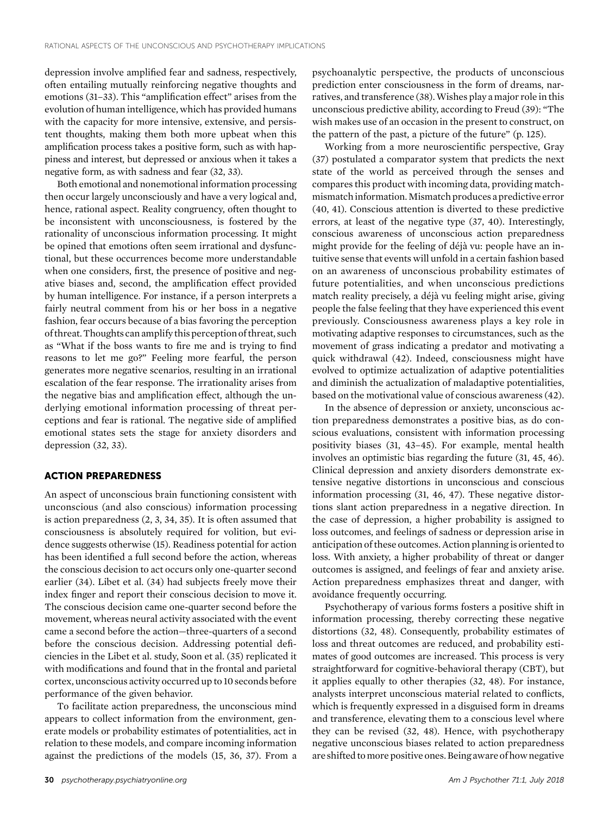depression involve amplified fear and sadness, respectively, often entailing mutually reinforcing negative thoughts and emotions (31–33). This "amplification effect" arises from the evolution of human intelligence, which has provided humans with the capacity for more intensive, extensive, and persistent thoughts, making them both more upbeat when this amplification process takes a positive form, such as with happiness and interest, but depressed or anxious when it takes a negative form, as with sadness and fear (32, 33).

Both emotional and nonemotional information processing then occur largely unconsciously and have a very logical and, hence, rational aspect. Reality congruency, often thought to be inconsistent with unconsciousness, is fostered by the rationality of unconscious information processing. It might be opined that emotions often seem irrational and dysfunctional, but these occurrences become more understandable when one considers, first, the presence of positive and negative biases and, second, the amplification effect provided by human intelligence. For instance, if a person interprets a fairly neutral comment from his or her boss in a negative fashion, fear occurs because of a bias favoring the perception of threat.Thoughts can amplify this perception of threat, such as "What if the boss wants to fire me and is trying to find reasons to let me go?" Feeling more fearful, the person generates more negative scenarios, resulting in an irrational escalation of the fear response. The irrationality arises from the negative bias and amplification effect, although the underlying emotional information processing of threat perceptions and fear is rational. The negative side of amplified emotional states sets the stage for anxiety disorders and depression (32, 33).

# ACTION PREPAREDNESS

An aspect of unconscious brain functioning consistent with unconscious (and also conscious) information processing is action preparedness (2, 3, 34, 35). It is often assumed that consciousness is absolutely required for volition, but evidence suggests otherwise (15). Readiness potential for action has been identified a full second before the action, whereas the conscious decision to act occurs only one-quarter second earlier (34). Libet et al. (34) had subjects freely move their index finger and report their conscious decision to move it. The conscious decision came one-quarter second before the movement, whereas neural activity associated with the event came a second before the action—three-quarters of a second before the conscious decision. Addressing potential deficiencies in the Libet et al. study, Soon et al. (35) replicated it with modifications and found that in the frontal and parietal cortex, unconscious activity occurred up to 10 seconds before performance of the given behavior.

To facilitate action preparedness, the unconscious mind appears to collect information from the environment, generate models or probability estimates of potentialities, act in relation to these models, and compare incoming information against the predictions of the models (15, 36, 37). From a psychoanalytic perspective, the products of unconscious prediction enter consciousness in the form of dreams, narratives, and transference (38).Wishes play a major role in this unconscious predictive ability, according to Freud (39): "The wish makes use of an occasion in the present to construct, on the pattern of the past, a picture of the future" (p. 125).

Working from a more neuroscientific perspective, Gray (37) postulated a comparator system that predicts the next state of the world as perceived through the senses and compares this product with incoming data, providing matchmismatchinformation.Mismatch produces a predictive error (40, 41). Conscious attention is diverted to these predictive errors, at least of the negative type (37, 40). Interestingly, conscious awareness of unconscious action preparedness might provide for the feeling of déjà vu: people have an intuitive sense that events will unfold in a certain fashion based on an awareness of unconscious probability estimates of future potentialities, and when unconscious predictions match reality precisely, a déjà vu feeling might arise, giving people the false feeling that they have experienced this event previously. Consciousness awareness plays a key role in motivating adaptive responses to circumstances, such as the movement of grass indicating a predator and motivating a quick withdrawal (42). Indeed, consciousness might have evolved to optimize actualization of adaptive potentialities and diminish the actualization of maladaptive potentialities, based on the motivational value of conscious awareness (42).

In the absence of depression or anxiety, unconscious action preparedness demonstrates a positive bias, as do conscious evaluations, consistent with information processing positivity biases (31, 43–45). For example, mental health involves an optimistic bias regarding the future (31, 45, 46). Clinical depression and anxiety disorders demonstrate extensive negative distortions in unconscious and conscious information processing (31, 46, 47). These negative distortions slant action preparedness in a negative direction. In the case of depression, a higher probability is assigned to loss outcomes, and feelings of sadness or depression arise in anticipation of these outcomes. Action planning is oriented to loss. With anxiety, a higher probability of threat or danger outcomes is assigned, and feelings of fear and anxiety arise. Action preparedness emphasizes threat and danger, with avoidance frequently occurring.

Psychotherapy of various forms fosters a positive shift in information processing, thereby correcting these negative distortions (32, 48). Consequently, probability estimates of loss and threat outcomes are reduced, and probability estimates of good outcomes are increased. This process is very straightforward for cognitive-behavioral therapy (CBT), but it applies equally to other therapies (32, 48). For instance, analysts interpret unconscious material related to conflicts, which is frequently expressed in a disguised form in dreams and transference, elevating them to a conscious level where they can be revised (32, 48). Hence, with psychotherapy negative unconscious biases related to action preparedness are shifted tomore positive ones. Being aware of how negative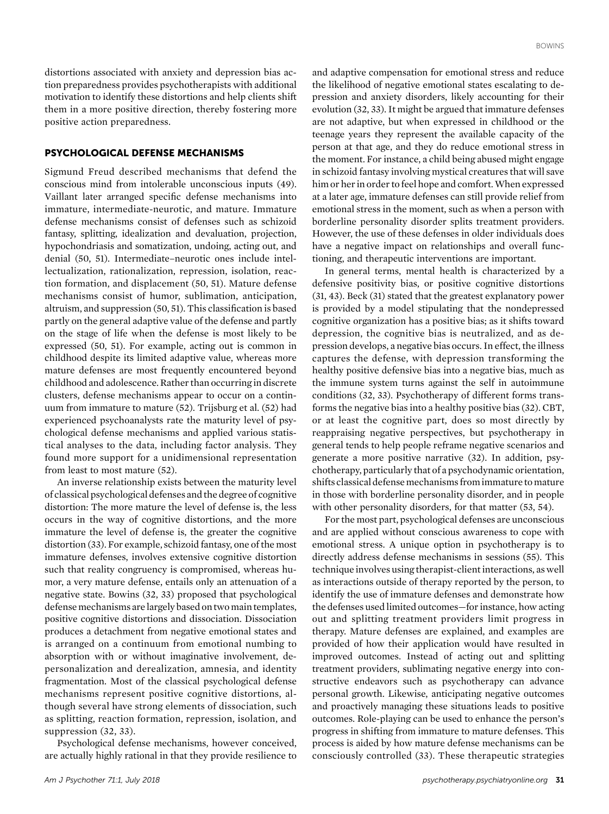distortions associated with anxiety and depression bias action preparedness provides psychotherapists with additional motivation to identify these distortions and help clients shift them in a more positive direction, thereby fostering more positive action preparedness.

# PSYCHOLOGICAL DEFENSE MECHANISMS

Sigmund Freud described mechanisms that defend the conscious mind from intolerable unconscious inputs (49). Vaillant later arranged specific defense mechanisms into immature, intermediate-neurotic, and mature. Immature defense mechanisms consist of defenses such as schizoid fantasy, splitting, idealization and devaluation, projection, hypochondriasis and somatization, undoing, acting out, and denial (50, 51). Intermediate–neurotic ones include intellectualization, rationalization, repression, isolation, reaction formation, and displacement (50, 51). Mature defense mechanisms consist of humor, sublimation, anticipation, altruism, and suppression (50, 51). This classification is based partly on the general adaptive value of the defense and partly on the stage of life when the defense is most likely to be expressed (50, 51). For example, acting out is common in childhood despite its limited adaptive value, whereas more mature defenses are most frequently encountered beyond childhood and adolescence. Rather than occurring in discrete clusters, defense mechanisms appear to occur on a continuum from immature to mature (52). Trijsburg et al. (52) had experienced psychoanalysts rate the maturity level of psychological defense mechanisms and applied various statistical analyses to the data, including factor analysis. They found more support for a unidimensional representation from least to most mature (52).

An inverse relationship exists between the maturity level of classical psychological defenses and the degree of cognitive distortion: The more mature the level of defense is, the less occurs in the way of cognitive distortions, and the more immature the level of defense is, the greater the cognitive distortion (33). For example, schizoid fantasy, one of the most immature defenses, involves extensive cognitive distortion such that reality congruency is compromised, whereas humor, a very mature defense, entails only an attenuation of a negative state. Bowins (32, 33) proposed that psychological defensemechanisms arelargely based on two main templates, positive cognitive distortions and dissociation. Dissociation produces a detachment from negative emotional states and is arranged on a continuum from emotional numbing to absorption with or without imaginative involvement, depersonalization and derealization, amnesia, and identity fragmentation. Most of the classical psychological defense mechanisms represent positive cognitive distortions, although several have strong elements of dissociation, such as splitting, reaction formation, repression, isolation, and suppression (32, 33).

Psychological defense mechanisms, however conceived, are actually highly rational in that they provide resilience to and adaptive compensation for emotional stress and reduce the likelihood of negative emotional states escalating to depression and anxiety disorders, likely accounting for their evolution (32, 33). It might be argued that immature defenses are not adaptive, but when expressed in childhood or the teenage years they represent the available capacity of the person at that age, and they do reduce emotional stress in the moment. For instance, a child being abused might engage in schizoid fantasy involving mystical creatures that will save him or her in order to feel hope and comfort. When expressed at a later age, immature defenses can still provide relief from emotional stress in the moment, such as when a person with borderline personality disorder splits treatment providers. However, the use of these defenses in older individuals does have a negative impact on relationships and overall functioning, and therapeutic interventions are important.

In general terms, mental health is characterized by a defensive positivity bias, or positive cognitive distortions (31, 43). Beck (31) stated that the greatest explanatory power is provided by a model stipulating that the nondepressed cognitive organization has a positive bias; as it shifts toward depression, the cognitive bias is neutralized, and as depression develops, a negative bias occurs. In effect, the illness captures the defense, with depression transforming the healthy positive defensive bias into a negative bias, much as the immune system turns against the self in autoimmune conditions (32, 33). Psychotherapy of different forms transforms the negative bias into a healthy positive bias (32). CBT, or at least the cognitive part, does so most directly by reappraising negative perspectives, but psychotherapy in general tends to help people reframe negative scenarios and generate a more positive narrative (32). In addition, psychotherapy, particularly that of a psychodynamic orientation, shifts classical defensemechanisms fromimmature tomature in those with borderline personality disorder, and in people with other personality disorders, for that matter (53, 54).

For the most part, psychological defenses are unconscious and are applied without conscious awareness to cope with emotional stress. A unique option in psychotherapy is to directly address defense mechanisms in sessions (55). This technique involves using therapist-client interactions, as well as interactions outside of therapy reported by the person, to identify the use of immature defenses and demonstrate how the defenses used limited outcomes—for instance, how acting out and splitting treatment providers limit progress in therapy. Mature defenses are explained, and examples are provided of how their application would have resulted in improved outcomes. Instead of acting out and splitting treatment providers, sublimating negative energy into constructive endeavors such as psychotherapy can advance personal growth. Likewise, anticipating negative outcomes and proactively managing these situations leads to positive outcomes. Role-playing can be used to enhance the person's progress in shifting from immature to mature defenses. This process is aided by how mature defense mechanisms can be consciously controlled (33). These therapeutic strategies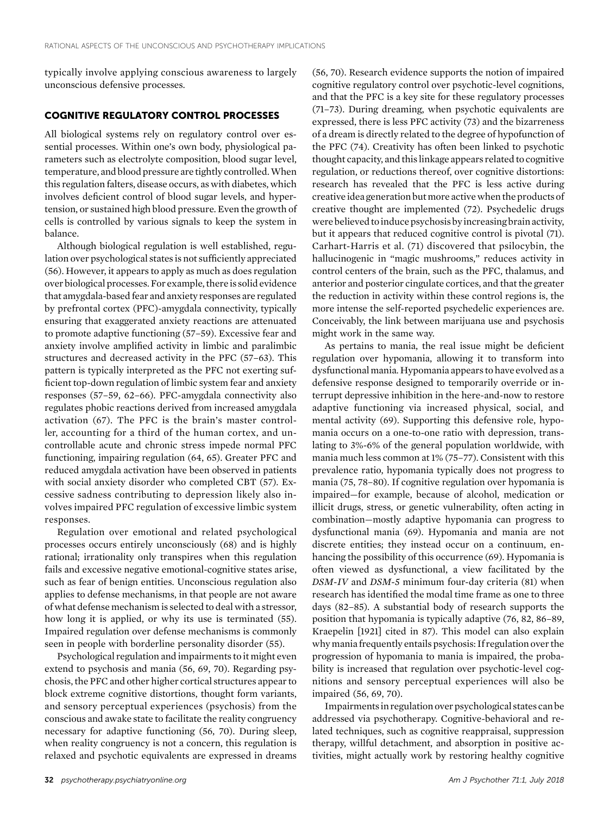typically involve applying conscious awareness to largely unconscious defensive processes.

## COGNITIVE REGULATORY CONTROL PROCESSES

All biological systems rely on regulatory control over essential processes. Within one's own body, physiological parameters such as electrolyte composition, blood sugar level, temperature, and blood pressure are tightly controlled.When this regulation falters, disease occurs, as with diabetes, which involves deficient control of blood sugar levels, and hypertension, or sustained high blood pressure. Even the growth of cells is controlled by various signals to keep the system in balance.

Although biological regulation is well established, regulation over psychological states is not sufficiently appreciated (56). However, it appears to apply as much as does regulation over biological processes. For example, thereis solid evidence that amygdala-based fear and anxiety responses are regulated by prefrontal cortex (PFC)-amygdala connectivity, typically ensuring that exaggerated anxiety reactions are attenuated to promote adaptive functioning (57–59). Excessive fear and anxiety involve amplified activity in limbic and paralimbic structures and decreased activity in the PFC (57–63). This pattern is typically interpreted as the PFC not exerting sufficient top-down regulation of limbic system fear and anxiety responses (57–59, 62–66). PFC-amygdala connectivity also regulates phobic reactions derived from increased amygdala activation (67). The PFC is the brain's master controller, accounting for a third of the human cortex, and uncontrollable acute and chronic stress impede normal PFC functioning, impairing regulation (64, 65). Greater PFC and reduced amygdala activation have been observed in patients with social anxiety disorder who completed CBT (57). Excessive sadness contributing to depression likely also involves impaired PFC regulation of excessive limbic system responses.

Regulation over emotional and related psychological processes occurs entirely unconsciously (68) and is highly rational; irrationality only transpires when this regulation fails and excessive negative emotional-cognitive states arise, such as fear of benign entities. Unconscious regulation also applies to defense mechanisms, in that people are not aware of what defense mechanism is selected to deal with a stressor, how long it is applied, or why its use is terminated (55). Impaired regulation over defense mechanisms is commonly seen in people with borderline personality disorder (55).

Psychological regulation and impairments to it might even extend to psychosis and mania (56, 69, 70). Regarding psychosis, the PFC and other higher cortical structures appear to block extreme cognitive distortions, thought form variants, and sensory perceptual experiences (psychosis) from the conscious and awake state to facilitate the reality congruency necessary for adaptive functioning (56, 70). During sleep, when reality congruency is not a concern, this regulation is relaxed and psychotic equivalents are expressed in dreams

(56, 70). Research evidence supports the notion of impaired cognitive regulatory control over psychotic-level cognitions, and that the PFC is a key site for these regulatory processes (71–73). During dreaming, when psychotic equivalents are expressed, there is less PFC activity (73) and the bizarreness of a dream is directly related to the degree of hypofunction of the PFC (74). Creativity has often been linked to psychotic thought capacity, and this linkage appears related to cognitive regulation, or reductions thereof, over cognitive distortions: research has revealed that the PFC is less active during creativeidea generation butmore active when the products of creative thought are implemented (72). Psychedelic drugs were believed to induce psychosis by increasing brain activity, but it appears that reduced cognitive control is pivotal (71). Carhart-Harris et al. (71) discovered that psilocybin, the hallucinogenic in "magic mushrooms," reduces activity in control centers of the brain, such as the PFC, thalamus, and anterior and posterior cingulate cortices, and that the greater the reduction in activity within these control regions is, the more intense the self-reported psychedelic experiences are. Conceivably, the link between marijuana use and psychosis might work in the same way.

As pertains to mania, the real issue might be deficient regulation over hypomania, allowing it to transform into dysfunctional mania. Hypomania appears to have evolved as a defensive response designed to temporarily override or interrupt depressive inhibition in the here-and-now to restore adaptive functioning via increased physical, social, and mental activity (69). Supporting this defensive role, hypomania occurs on a one-to-one ratio with depression, translating to 3%-6% of the general population worldwide, with mania much less common at 1% (75–77). Consistent with this prevalence ratio, hypomania typically does not progress to mania (75, 78–80). If cognitive regulation over hypomania is impaired—for example, because of alcohol, medication or illicit drugs, stress, or genetic vulnerability, often acting in combination—mostly adaptive hypomania can progress to dysfunctional mania (69). Hypomania and mania are not discrete entities; they instead occur on a continuum, enhancing the possibility of this occurrence (69). Hypomania is often viewed as dysfunctional, a view facilitated by the DSM-IV and DSM-5 minimum four-day criteria (81) when research has identified the modal time frame as one to three days (82–85). A substantial body of research supports the position that hypomania is typically adaptive (76, 82, 86–89, Kraepelin [1921] cited in 87). This model can also explain why mania frequently entails psychosis: If regulation over the progression of hypomania to mania is impaired, the probability is increased that regulation over psychotic-level cognitions and sensory perceptual experiences will also be impaired (56, 69, 70).

Impairmentsin regulation over psychological states can be addressed via psychotherapy. Cognitive-behavioral and related techniques, such as cognitive reappraisal, suppression therapy, willful detachment, and absorption in positive activities, might actually work by restoring healthy cognitive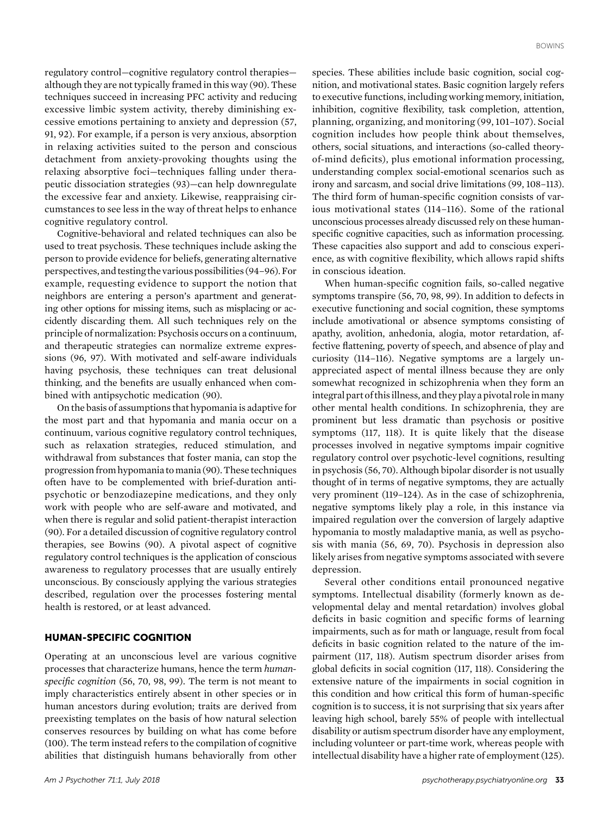regulatory control—cognitive regulatory control therapies although they are not typically framed in this way (90). These techniques succeed in increasing PFC activity and reducing excessive limbic system activity, thereby diminishing excessive emotions pertaining to anxiety and depression (57, 91, 92). For example, if a person is very anxious, absorption in relaxing activities suited to the person and conscious detachment from anxiety-provoking thoughts using the relaxing absorptive foci—techniques falling under therapeutic dissociation strategies (93)—can help downregulate the excessive fear and anxiety. Likewise, reappraising circumstances to see less in the way of threat helps to enhance cognitive regulatory control.

Cognitive-behavioral and related techniques can also be used to treat psychosis. These techniques include asking the person to provide evidence for beliefs, generating alternative perspectives, and testing the various possibilities (94–96). For example, requesting evidence to support the notion that neighbors are entering a person's apartment and generating other options for missing items, such as misplacing or accidently discarding them. All such techniques rely on the principle of normalization: Psychosis occurs on a continuum, and therapeutic strategies can normalize extreme expressions (96, 97). With motivated and self-aware individuals having psychosis, these techniques can treat delusional thinking, and the benefits are usually enhanced when combined with antipsychotic medication (90).

On the basis of assumptions that hypomania is adaptive for the most part and that hypomania and mania occur on a continuum, various cognitive regulatory control techniques, such as relaxation strategies, reduced stimulation, and withdrawal from substances that foster mania, can stop the progression from hypomania to mania (90). These techniques often have to be complemented with brief-duration antipsychotic or benzodiazepine medications, and they only work with people who are self-aware and motivated, and when there is regular and solid patient-therapist interaction (90). For a detailed discussion of cognitive regulatory control therapies, see Bowins (90). A pivotal aspect of cognitive regulatory control techniques is the application of conscious awareness to regulatory processes that are usually entirely unconscious. By consciously applying the various strategies described, regulation over the processes fostering mental health is restored, or at least advanced.

## HUMAN-SPECIFIC COGNITION

Operating at an unconscious level are various cognitive processes that characterize humans, hence the term humanspecific cognition (56, 70, 98, 99). The term is not meant to imply characteristics entirely absent in other species or in human ancestors during evolution; traits are derived from preexisting templates on the basis of how natural selection conserves resources by building on what has come before (100). The term instead refers to the compilation of cognitive abilities that distinguish humans behaviorally from other

species. These abilities include basic cognition, social cognition, and motivational states. Basic cognition largely refers to executive functions, including working memory, initiation, inhibition, cognitive flexibility, task completion, attention, planning, organizing, and monitoring (99, 101–107). Social cognition includes how people think about themselves, others, social situations, and interactions (so-called theoryof-mind deficits), plus emotional information processing, understanding complex social-emotional scenarios such as irony and sarcasm, and social drive limitations (99, 108–113). The third form of human-specific cognition consists of various motivational states (114–116). Some of the rational unconscious processes already discussed rely on these humanspecific cognitive capacities, such as information processing. These capacities also support and add to conscious experience, as with cognitive flexibility, which allows rapid shifts in conscious ideation.

When human-specific cognition fails, so-called negative symptoms transpire (56, 70, 98, 99). In addition to defects in executive functioning and social cognition, these symptoms include amotivational or absence symptoms consisting of apathy, avolition, anhedonia, alogia, motor retardation, affective flattening, poverty of speech, and absence of play and curiosity (114–116). Negative symptoms are a largely unappreciated aspect of mental illness because they are only somewhat recognized in schizophrenia when they form an integral part of this illness, and they play a pivotal role in many other mental health conditions. In schizophrenia, they are prominent but less dramatic than psychosis or positive symptoms (117, 118). It is quite likely that the disease processes involved in negative symptoms impair cognitive regulatory control over psychotic-level cognitions, resulting in psychosis (56, 70). Although bipolar disorder is not usually thought of in terms of negative symptoms, they are actually very prominent (119–124). As in the case of schizophrenia, negative symptoms likely play a role, in this instance via impaired regulation over the conversion of largely adaptive hypomania to mostly maladaptive mania, as well as psychosis with mania (56, 69, 70). Psychosis in depression also likely arises from negative symptoms associated with severe depression.

Several other conditions entail pronounced negative symptoms. Intellectual disability (formerly known as developmental delay and mental retardation) involves global deficits in basic cognition and specific forms of learning impairments, such as for math or language, result from focal deficits in basic cognition related to the nature of the impairment (117, 118). Autism spectrum disorder arises from global deficits in social cognition (117, 118). Considering the extensive nature of the impairments in social cognition in this condition and how critical this form of human-specific cognition is to success, it is not surprising that six years after leaving high school, barely 55% of people with intellectual disability or autism spectrum disorder have any employment, including volunteer or part-time work, whereas people with intellectual disability have a higher rate of employment (125).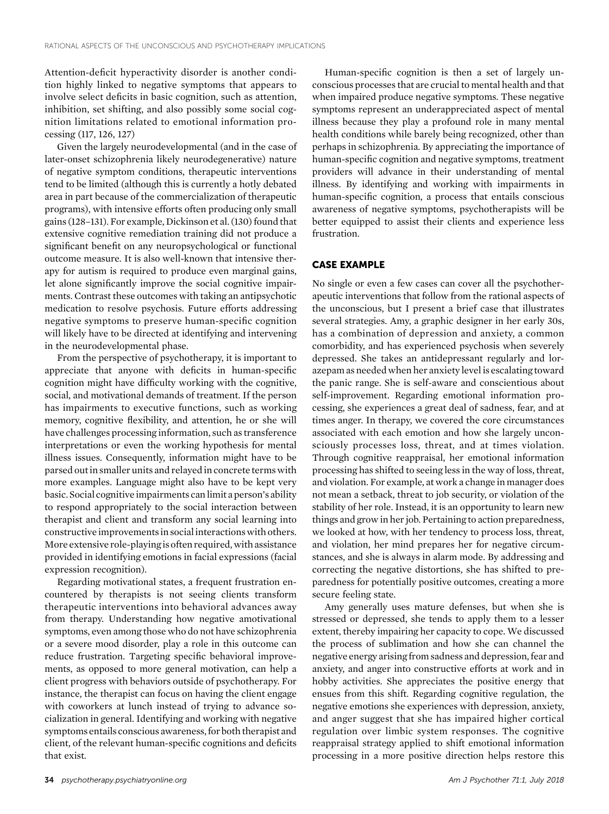Attention-deficit hyperactivity disorder is another condition highly linked to negative symptoms that appears to involve select deficits in basic cognition, such as attention, inhibition, set shifting, and also possibly some social cognition limitations related to emotional information processing (117, 126, 127)

Given the largely neurodevelopmental (and in the case of later-onset schizophrenia likely neurodegenerative) nature of negative symptom conditions, therapeutic interventions tend to be limited (although this is currently a hotly debated area in part because of the commercialization of therapeutic programs), with intensive efforts often producing only small gains (128–131). For example, Dickinson et al. (130) found that extensive cognitive remediation training did not produce a significant benefit on any neuropsychological or functional outcome measure. It is also well-known that intensive therapy for autism is required to produce even marginal gains, let alone significantly improve the social cognitive impairments. Contrast these outcomes with taking an antipsychotic medication to resolve psychosis. Future efforts addressing negative symptoms to preserve human-specific cognition will likely have to be directed at identifying and intervening in the neurodevelopmental phase.

From the perspective of psychotherapy, it is important to appreciate that anyone with deficits in human-specific cognition might have difficulty working with the cognitive, social, and motivational demands of treatment. If the person has impairments to executive functions, such as working memory, cognitive flexibility, and attention, he or she will have challenges processing information, such as transference interpretations or even the working hypothesis for mental illness issues. Consequently, information might have to be parsed out in smaller units and relayed in concrete terms with more examples. Language might also have to be kept very basic. Social cognitive impairments can limit a person's ability to respond appropriately to the social interaction between therapist and client and transform any social learning into constructive improvementsin socialinteractions with others. More extensive role-playing is often required, with assistance provided in identifying emotions in facial expressions (facial expression recognition).

Regarding motivational states, a frequent frustration encountered by therapists is not seeing clients transform therapeutic interventions into behavioral advances away from therapy. Understanding how negative amotivational symptoms, even among those who do not have schizophrenia or a severe mood disorder, play a role in this outcome can reduce frustration. Targeting specific behavioral improvements, as opposed to more general motivation, can help a client progress with behaviors outside of psychotherapy. For instance, the therapist can focus on having the client engage with coworkers at lunch instead of trying to advance socialization in general. Identifying and working with negative symptoms entails conscious awareness, for both therapist and client, of the relevant human-specific cognitions and deficits that exist.

Human-specific cognition is then a set of largely unconscious processes that are crucial to mental health and that when impaired produce negative symptoms. These negative symptoms represent an underappreciated aspect of mental illness because they play a profound role in many mental health conditions while barely being recognized, other than perhaps in schizophrenia. By appreciating the importance of human-specific cognition and negative symptoms, treatment providers will advance in their understanding of mental illness. By identifying and working with impairments in human-specific cognition, a process that entails conscious awareness of negative symptoms, psychotherapists will be better equipped to assist their clients and experience less frustration.

## CASE EXAMPLE

No single or even a few cases can cover all the psychotherapeutic interventions that follow from the rational aspects of the unconscious, but I present a brief case that illustrates several strategies. Amy, a graphic designer in her early 30s, has a combination of depression and anxiety, a common comorbidity, and has experienced psychosis when severely depressed. She takes an antidepressant regularly and lorazepam as needed when her anxiety level is escalating toward the panic range. She is self-aware and conscientious about self-improvement. Regarding emotional information processing, she experiences a great deal of sadness, fear, and at times anger. In therapy, we covered the core circumstances associated with each emotion and how she largely unconsciously processes loss, threat, and at times violation. Through cognitive reappraisal, her emotional information processing has shifted to seeing less in the way of loss, threat, and violation. For example, at work a change in manager does not mean a setback, threat to job security, or violation of the stability of her role. Instead, it is an opportunity to learn new things and grow in her job. Pertaining to action preparedness, we looked at how, with her tendency to process loss, threat, and violation, her mind prepares her for negative circumstances, and she is always in alarm mode. By addressing and correcting the negative distortions, she has shifted to preparedness for potentially positive outcomes, creating a more secure feeling state.

Amy generally uses mature defenses, but when she is stressed or depressed, she tends to apply them to a lesser extent, thereby impairing her capacity to cope. We discussed the process of sublimation and how she can channel the negative energy arising from sadness and depression, fear and anxiety, and anger into constructive efforts at work and in hobby activities. She appreciates the positive energy that ensues from this shift. Regarding cognitive regulation, the negative emotions she experiences with depression, anxiety, and anger suggest that she has impaired higher cortical regulation over limbic system responses. The cognitive reappraisal strategy applied to shift emotional information processing in a more positive direction helps restore this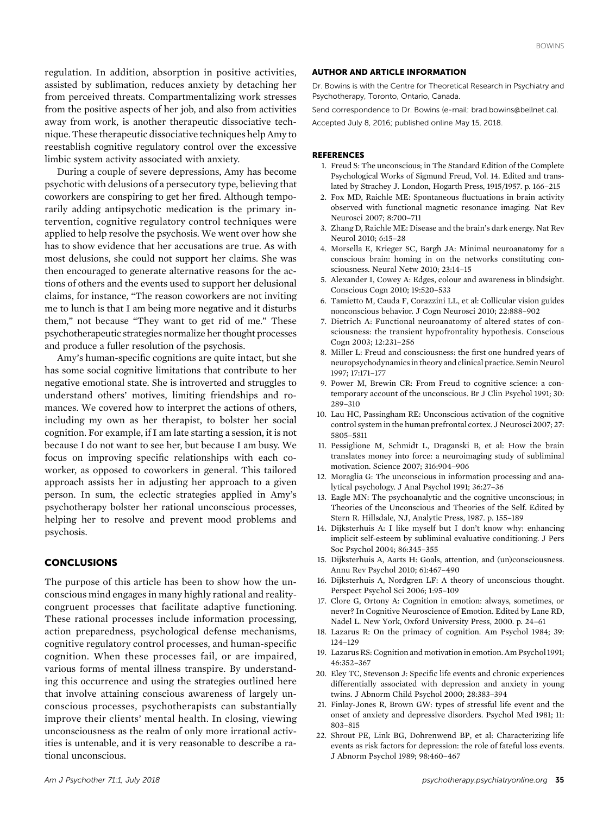regulation. In addition, absorption in positive activities, assisted by sublimation, reduces anxiety by detaching her from perceived threats. Compartmentalizing work stresses from the positive aspects of her job, and also from activities away from work, is another therapeutic dissociative technique. These therapeutic dissociative techniques help Amy to reestablish cognitive regulatory control over the excessive limbic system activity associated with anxiety.

During a couple of severe depressions, Amy has become psychotic with delusions of a persecutory type, believing that coworkers are conspiring to get her fired. Although temporarily adding antipsychotic medication is the primary intervention, cognitive regulatory control techniques were applied to help resolve the psychosis. We went over how she has to show evidence that her accusations are true. As with most delusions, she could not support her claims. She was then encouraged to generate alternative reasons for the actions of others and the events used to support her delusional claims, for instance, "The reason coworkers are not inviting me to lunch is that I am being more negative and it disturbs them," not because "They want to get rid of me." These psychotherapeutic strategies normalize her thought processes and produce a fuller resolution of the psychosis.

Amy's human-specific cognitions are quite intact, but she has some social cognitive limitations that contribute to her negative emotional state. She is introverted and struggles to understand others' motives, limiting friendships and romances. We covered how to interpret the actions of others, including my own as her therapist, to bolster her social cognition. For example, if I am late starting a session, it is not because I do not want to see her, but because I am busy. We focus on improving specific relationships with each coworker, as opposed to coworkers in general. This tailored approach assists her in adjusting her approach to a given person. In sum, the eclectic strategies applied in Amy's psychotherapy bolster her rational unconscious processes, helping her to resolve and prevent mood problems and psychosis.

## CONCLUSIONS

The purpose of this article has been to show how the unconscious mind engages in many highly rational and realitycongruent processes that facilitate adaptive functioning. These rational processes include information processing, action preparedness, psychological defense mechanisms, cognitive regulatory control processes, and human-specific cognition. When these processes fail, or are impaired, various forms of mental illness transpire. By understanding this occurrence and using the strategies outlined here that involve attaining conscious awareness of largely unconscious processes, psychotherapists can substantially improve their clients' mental health. In closing, viewing unconsciousness as the realm of only more irrational activities is untenable, and it is very reasonable to describe a rational unconscious.

#### AUTHOR AND ARTICLE INFORMATION

Dr. Bowins is with the Centre for Theoretical Research in Psychiatry and Psychotherapy, Toronto, Ontario, Canada.

Send correspondence to Dr. Bowins (e-mail: [brad.bowins@bellnet.ca\)](mailto:brad.bowins@bellnet.ca).

Accepted July 8, 2016; published online May 15, 2018.

#### **REFERENCES**

- 1. Freud S: The unconscious; in The Standard Edition of the Complete Psychological Works of Sigmund Freud, Vol. 14. Edited and translated by Strachey J. London, Hogarth Press, 1915/1957. p. 166–215
- 2. Fox MD, Raichle ME: Spontaneous fluctuations in brain activity observed with functional magnetic resonance imaging. Nat Rev Neurosci 2007; 8:700–711
- 3. Zhang D, Raichle ME: Disease and the brain's dark energy. Nat Rev Neurol 2010; 6:15–28
- 4. Morsella E, Krieger SC, Bargh JA: Minimal neuroanatomy for a conscious brain: homing in on the networks constituting consciousness. Neural Netw 2010; 23:14–15
- 5. Alexander I, Cowey A: Edges, colour and awareness in blindsight. Conscious Cogn 2010; 19:520–533
- 6. Tamietto M, Cauda F, Corazzini LL, et al: Collicular vision guides nonconscious behavior. J Cogn Neurosci 2010; 22:888–902
- 7. Dietrich A: Functional neuroanatomy of altered states of consciousness: the transient hypofrontality hypothesis. Conscious Cogn 2003; 12:231–256
- 8. Miller L: Freud and consciousness: the first one hundred years of neuropsychodynamicsin theory and clinical practice. Semin Neurol 1997; 17:171–177
- 9. Power M, Brewin CR: From Freud to cognitive science: a contemporary account of the unconscious. Br J Clin Psychol 1991; 30: 289–310
- 10. Lau HC, Passingham RE: Unconscious activation of the cognitive control system in the human prefrontal cortex. J Neurosci 2007; 27: 5805–5811
- 11. Pessiglione M, Schmidt L, Draganski B, et al: How the brain translates money into force: a neuroimaging study of subliminal motivation. Science 2007; 316:904–906
- 12. Moraglia G: The unconscious in information processing and analytical psychology. J Anal Psychol 1991; 36:27–36
- 13. Eagle MN: The psychoanalytic and the cognitive unconscious; in Theories of the Unconscious and Theories of the Self. Edited by Stern R. Hillsdale, NJ, Analytic Press, 1987. p. 155–189
- 14. Dijksterhuis A: I like myself but I don't know why: enhancing implicit self-esteem by subliminal evaluative conditioning. J Pers Soc Psychol 2004; 86:345–355
- 15. Dijksterhuis A, Aarts H: Goals, attention, and (un)consciousness. Annu Rev Psychol 2010; 61:467–490
- 16. Dijksterhuis A, Nordgren LF: A theory of unconscious thought. Perspect Psychol Sci 2006; 1:95–109
- 17. Clore G, Ortony A: Cognition in emotion: always, sometimes, or never? In Cognitive Neuroscience of Emotion. Edited by Lane RD, Nadel L. New York, Oxford University Press, 2000. p. 24–61
- 18. Lazarus R: On the primacy of cognition. Am Psychol 1984; 39: 124–129
- 19. Lazarus RS: Cognition and motivation in emotion. Am Psychol 1991; 46:352–367
- 20. Eley TC, Stevenson J: Specific life events and chronic experiences differentially associated with depression and anxiety in young twins. J Abnorm Child Psychol 2000; 28:383–394
- 21. Finlay-Jones R, Brown GW: types of stressful life event and the onset of anxiety and depressive disorders. Psychol Med 1981; 11: 803–815
- 22. Shrout PE, Link BG, Dohrenwend BP, et al: Characterizing life events as risk factors for depression: the role of fateful loss events. J Abnorm Psychol 1989; 98:460–467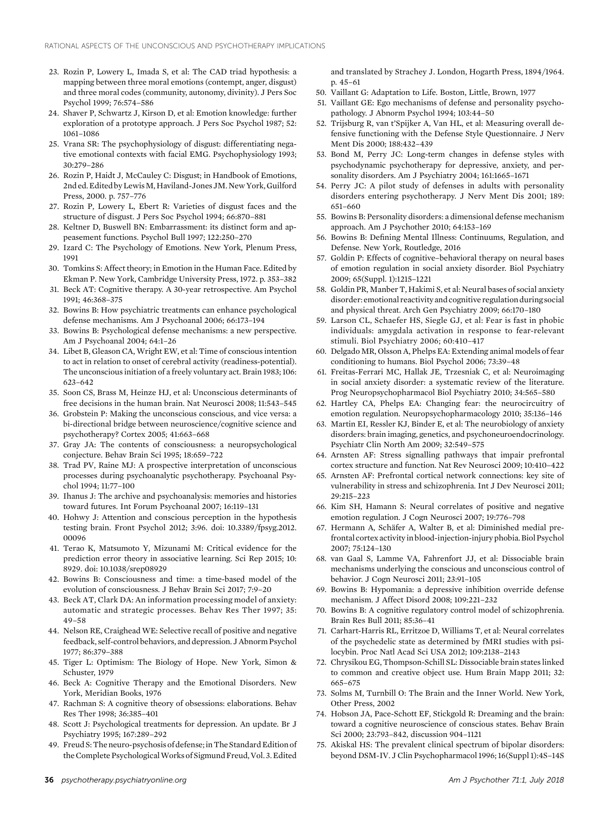- 23. Rozin P, Lowery L, Imada S, et al: The CAD triad hypothesis: a mapping between three moral emotions (contempt, anger, disgust) and three moral codes (community, autonomy, divinity). J Pers Soc Psychol 1999; 76:574–586
- 24. Shaver P, Schwartz J, Kirson D, et al: Emotion knowledge: further exploration of a prototype approach. J Pers Soc Psychol 1987; 52: 1061–1086
- 25. Vrana SR: The psychophysiology of disgust: differentiating negative emotional contexts with facial EMG. Psychophysiology 1993; 30:279–286
- 26. Rozin P, Haidt J, McCauley C: Disgust; in Handbook of Emotions, 2nd ed. Edited by Lewis M, Haviland-Jones JM. New York, Guilford Press, 2000. p. 757–776
- 27. Rozin P, Lowery L, Ebert R: Varieties of disgust faces and the structure of disgust. J Pers Soc Psychol 1994; 66:870–881
- 28. Keltner D, Buswell BN: Embarrassment: its distinct form and appeasement functions. Psychol Bull 1997; 122:250–270
- 29. Izard C: The Psychology of Emotions. New York, Plenum Press, 1991
- 30. Tomkins S: Affect theory; in Emotion in the Human Face. Edited by Ekman P. New York, Cambridge University Press, 1972. p. 353–382
- 31. Beck AT: Cognitive therapy. A 30-year retrospective. Am Psychol 1991; 46:368–375
- 32. Bowins B: How psychiatric treatments can enhance psychological defense mechanisms. Am J Psychoanal 2006; 66:173–194
- 33. Bowins B: Psychological defense mechanisms: a new perspective. Am J Psychoanal 2004; 64:1–26
- 34. Libet B, Gleason CA, Wright EW, et al: Time of conscious intention to act in relation to onset of cerebral activity (readiness-potential). The unconscious initiation of a freely voluntary act. Brain 1983; 106: 623–642
- 35. Soon CS, Brass M, Heinze HJ, et al: Unconscious determinants of free decisions in the human brain. Nat Neurosci 2008; 11:543–545
- 36. Grobstein P: Making the unconscious conscious, and vice versa: a bi-directional bridge between neuroscience/cognitive science and psychotherapy? Cortex 2005; 41:663–668
- 37. Gray JA: The contents of consciousness: a neuropsychological conjecture. Behav Brain Sci 1995; 18:659–722
- 38. Trad PV, Raine MJ: A prospective interpretation of unconscious processes during psychoanalytic psychotherapy. Psychoanal Psychol 1994; 11:77–100
- 39. Ihanus J: The archive and psychoanalysis: memories and histories toward futures. Int Forum Psychoanal 2007; 16:119–131
- 40. Hohwy J: Attention and conscious perception in the hypothesis testing brain. Front Psychol 2012; 3:96. doi: 10.3389/fpsyg.2012. 00096
- 41. Terao K, Matsumoto Y, Mizunami M: Critical evidence for the prediction error theory in associative learning. Sci Rep 2015; 10: 8929. doi: 10.1038/srep08929
- 42. Bowins B: Consciousness and time: a time-based model of the evolution of consciousness. J Behav Brain Sci 2017; 7:9–20
- 43. Beck AT, Clark DA: An information processing model of anxiety: automatic and strategic processes. Behav Res Ther 1997; 35: 49–58
- 44. Nelson RE, Craighead WE: Selective recall of positive and negative feedback, self-control behaviors, and depression. J Abnorm Psychol 1977; 86:379–388
- 45. Tiger L: Optimism: The Biology of Hope. New York, Simon & Schuster, 1979
- 46. Beck A: Cognitive Therapy and the Emotional Disorders. New York, Meridian Books, 1976
- 47. Rachman S: A cognitive theory of obsessions: elaborations. Behav Res Ther 1998; 36:385–401
- 48. Scott J: Psychological treatments for depression. An update. Br J Psychiatry 1995; 167:289–292
- 49. Freud S: The neuro-psychosis of defense; in The Standard Edition of the Complete Psychological Works of Sigmund Freud, Vol. 3. Edited

and translated by Strachey J. London, Hogarth Press, 1894/1964. p. 45–61

- 50. Vaillant G: Adaptation to Life. Boston, Little, Brown, 1977
- 51. Vaillant GE: Ego mechanisms of defense and personality psychopathology. J Abnorm Psychol 1994; 103:44–50
- 52. Trijsburg R, van t'Spijker A, Van HL, et al: Measuring overall defensive functioning with the Defense Style Questionnaire. J Nerv Ment Dis 2000; 188:432–439
- 53. Bond M, Perry JC: Long-term changes in defense styles with psychodynamic psychotherapy for depressive, anxiety, and personality disorders. Am J Psychiatry 2004; 161:1665–1671
- 54. Perry JC: A pilot study of defenses in adults with personality disorders entering psychotherapy. J Nerv Ment Dis 2001; 189: 651–660
- 55. Bowins B: Personality disorders: a dimensional defense mechanism approach. Am J Psychother 2010; 64:153–169
- 56. Bowins B: Defining Mental Illness: Continuums, Regulation, and Defense. New York, Routledge, 2016
- 57. Goldin P: Effects of cognitive–behavioral therapy on neural bases of emotion regulation in social anxiety disorder. Biol Psychiatry 2009; 65(Suppl. 1):1215–1221
- 58. Goldin PR, Manber T, Hakimi S, et al: Neural bases of social anxiety disorder: emotional reactivityand cognitive regulation during social and physical threat. Arch Gen Psychiatry 2009; 66:170–180
- 59. Larson CL, Schaefer HS, Siegle GJ, et al: Fear is fast in phobic individuals: amygdala activation in response to fear-relevant stimuli. Biol Psychiatry 2006; 60:410–417
- 60. Delgado MR, Olsson A, Phelps EA: Extending animal models of fear conditioning to humans. Biol Psychol 2006; 73:39–48
- 61. Freitas-Ferrari MC, Hallak JE, Trzesniak C, et al: Neuroimaging in social anxiety disorder: a systematic review of the literature. Prog Neuropsychopharmacol Biol Psychiatry 2010; 34:565–580
- 62. Hartley CA, Phelps EA: Changing fear: the neurocircuitry of emotion regulation. Neuropsychopharmacology 2010; 35:136–146
- 63. Martin EI, Ressler KJ, Binder E, et al: The neurobiology of anxiety disorders: brain imaging, genetics, and psychoneuroendocrinology. Psychiatr Clin North Am 2009; 32:549–575
- 64. Arnsten AF: Stress signalling pathways that impair prefrontal cortex structure and function. Nat Rev Neurosci 2009; 10:410–422
- 65. Arnsten AF: Prefrontal cortical network connections: key site of vulnerability in stress and schizophrenia. Int J Dev Neurosci 2011; 29:215–223
- 66. Kim SH, Hamann S: Neural correlates of positive and negative emotion regulation. J Cogn Neurosci 2007; 19:776–798
- 67. Hermann A, Schäfer A, Walter B, et al: Diminished medial prefrontal cortex activityin blood-injection-injury phobia. Biol Psychol 2007; 75:124–130
- 68. van Gaal S, Lamme VA, Fahrenfort JJ, et al: Dissociable brain mechanisms underlying the conscious and unconscious control of behavior. J Cogn Neurosci 2011; 23:91–105
- 69. Bowins B: Hypomania: a depressive inhibition override defense mechanism. J Affect Disord 2008; 109:221–232
- 70. Bowins B: A cognitive regulatory control model of schizophrenia. Brain Res Bull 2011; 85:36–41
- 71. Carhart-Harris RL, Erritzoe D, Williams T, et al: Neural correlates of the psychedelic state as determined by fMRI studies with psilocybin. Proc Natl Acad Sci USA 2012; 109:2138–2143
- 72. Chrysikou EG, Thompson-Schill SL: Dissociable brain states linked to common and creative object use. Hum Brain Mapp 2011; 32: 665–675
- 73. Solms M, Turnbill O: The Brain and the Inner World. New York, Other Press, 2002
- 74. Hobson JA, Pace-Schott EF, Stickgold R: Dreaming and the brain: toward a cognitive neuroscience of conscious states. Behav Brain Sci 2000; 23:793–842, discussion 904–1121
- 75. Akiskal HS: The prevalent clinical spectrum of bipolar disorders: beyond DSM-IV. J Clin Psychopharmacol 1996; 16(Suppl 1):4S–14S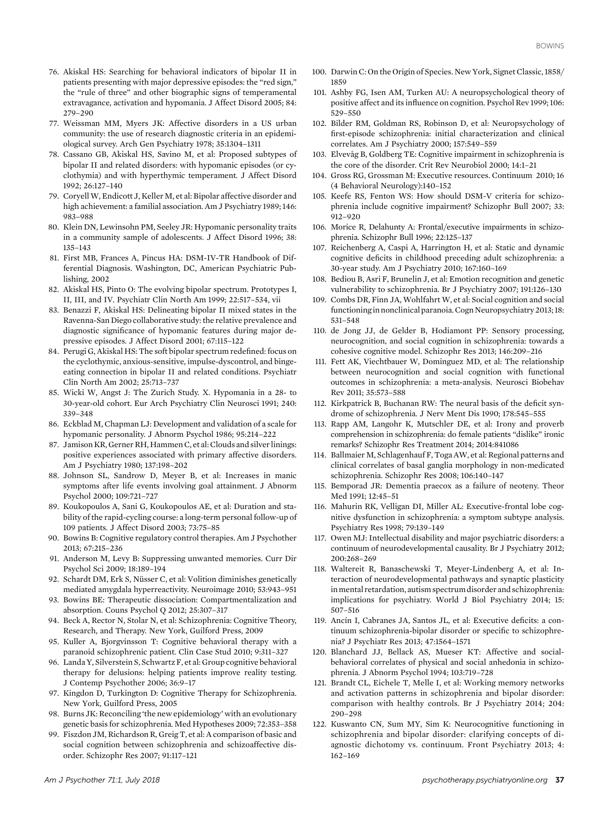- 76. Akiskal HS: Searching for behavioral indicators of bipolar II in patients presenting with major depressive episodes: the "red sign," the "rule of three" and other biographic signs of temperamental extravagance, activation and hypomania. J Affect Disord 2005; 84: 279–290
- 77. Weissman MM, Myers JK: Affective disorders in a US urban community: the use of research diagnostic criteria in an epidemiological survey. Arch Gen Psychiatry 1978; 35:1304–1311
- 78. Cassano GB, Akiskal HS, Savino M, et al: Proposed subtypes of bipolar II and related disorders: with hypomanic episodes (or cyclothymia) and with hyperthymic temperament. J Affect Disord 1992; 26:127–140
- 79. CoryellW, Endicott J, Keller M, et al: Bipolar affective disorder and high achievement: a familial association. Am J Psychiatry 1989; 146: 983–988
- 80. Klein DN, Lewinsohn PM, Seeley JR: Hypomanic personality traits in a community sample of adolescents. J Affect Disord 1996; 38: 135–143
- 81. First MB, Frances A, Pincus HA: DSM-IV-TR Handbook of Differential Diagnosis. Washington, DC, American Psychiatric Publishing, 2002
- 82. Akiskal HS, Pinto O: The evolving bipolar spectrum. Prototypes I, II, III, and IV. Psychiatr Clin North Am 1999; 22:517–534, vii
- 83. Benazzi F, Akiskal HS: Delineating bipolar II mixed states in the Ravenna-San Diego collaborative study: the relative prevalence and diagnostic significance of hypomanic features during major depressive episodes. J Affect Disord 2001; 67:115–122
- 84. Perugi G, Akiskal HS: The soft bipolar spectrum redefined: focus on the cyclothymic, anxious-sensitive, impulse-dyscontrol, and bingeeating connection in bipolar II and related conditions. Psychiatr Clin North Am 2002; 25:713–737
- 85. Wicki W, Angst J: The Zurich Study. X. Hypomania in a 28- to 30-year-old cohort. Eur Arch Psychiatry Clin Neurosci 1991; 240: 339–348
- 86. Eckblad M, Chapman LJ: Development and validation of a scale for hypomanic personality. J Abnorm Psychol 1986; 95:214–222
- 87. Jamison KR, Gerner RH, Hammen C, et al: Clouds and silverlinings: positive experiences associated with primary affective disorders. Am J Psychiatry 1980; 137:198–202
- 88. Johnson SL, Sandrow D, Meyer B, et al: Increases in manic symptoms after life events involving goal attainment. J Abnorm Psychol 2000; 109:721–727
- 89. Koukopoulos A, Sani G, Koukopoulos AE, et al: Duration and stability of the rapid-cycling course: a long-term personal follow-up of 109 patients. J Affect Disord 2003; 73:75–85
- 90. Bowins B: Cognitive regulatory control therapies. Am J Psychother 2013; 67:215–236
- 91. Anderson M, Levy B: Suppressing unwanted memories. Curr Dir Psychol Sci 2009; 18:189–194
- 92. Schardt DM, Erk S, Nüsser C, et al: Volition diminishes genetically mediated amygdala hyperreactivity. Neuroimage 2010; 53:943–951
- 93. Bowins BE: Therapeutic dissociation: Compartmentalization and absorption. Couns Psychol Q 2012; 25:307–317
- 94. Beck A, Rector N, Stolar N, et al: Schizophrenia: Cognitive Theory, Research, and Therapy. New York, Guilford Press, 2009
- 95. Kuller A, Bjorgvinsson T: Cognitive behavioral therapy with a paranoid schizophrenic patient. Clin Case Stud 2010; 9:311–327
- 96. Landa Y, Silverstein S, Schwartz F, et al: Group cognitive behavioral therapy for delusions: helping patients improve reality testing. J Contemp Psychother 2006; 36:9–17
- 97. Kingdon D, Turkington D: Cognitive Therapy for Schizophrenia. New York, Guilford Press, 2005
- 98. Burns JK: Reconciling 'the new epidemiology' with an evolutionary genetic basis for schizophrenia. Med Hypotheses 2009; 72:353–358
- 99. Fiszdon JM, Richardson R, Greig T, et al: A comparison of basic and social cognition between schizophrenia and schizoaffective disorder. Schizophr Res 2007; 91:117–121
- 100. Darwin C: On the Origin of Species. New York, Signet Classic, 1858/ 1859
- 101. Ashby FG, Isen AM, Turken AU: A neuropsychological theory of positive affect and its influence on cognition. Psychol Rev 1999; 106: 529–550
- 102. Bilder RM, Goldman RS, Robinson D, et al: Neuropsychology of first-episode schizophrenia: initial characterization and clinical correlates. Am J Psychiatry 2000; 157:549–559
- 103. Elvevåg B, Goldberg TE: Cognitive impairment in schizophrenia is the core of the disorder. Crit Rev Neurobiol 2000; 14:1–21
- 104. Gross RG, Grossman M: Executive resources. Continuum 2010; 16 (4 Behavioral Neurology):140–152
- 105. Keefe RS, Fenton WS: How should DSM-V criteria for schizophrenia include cognitive impairment? Schizophr Bull 2007; 33: 912–920
- 106. Morice R, Delahunty A: Frontal/executive impairments in schizophrenia. Schizophr Bull 1996; 22:125–137
- 107. Reichenberg A, Caspi A, Harrington H, et al: Static and dynamic cognitive deficits in childhood preceding adult schizophrenia: a 30-year study. Am J Psychiatry 2010; 167:160–169
- 108. Bediou B, Asri F, Brunelin J, et al: Emotion recognition and genetic vulnerability to schizophrenia. Br J Psychiatry 2007; 191:126–130
- 109. Combs DR, Finn JA, Wohlfahrt W, et al: Social cognition and social functioningin nonclinical paranoia. Cogn Neuropsychiatry 2013; 18: 531–548
- 110. de Jong JJ, de Gelder B, Hodiamont PP: Sensory processing, neurocognition, and social cognition in schizophrenia: towards a cohesive cognitive model. Schizophr Res 2013; 146:209–216
- 111. Fett AK, Viechtbauer W, Dominguez MD, et al: The relationship between neurocognition and social cognition with functional outcomes in schizophrenia: a meta-analysis. Neurosci Biobehav Rev 2011; 35:573–588
- 112. Kirkpatrick B, Buchanan RW: The neural basis of the deficit syndrome of schizophrenia. J Nerv Ment Dis 1990; 178:545–555
- 113. Rapp AM, Langohr K, Mutschler DE, et al: Irony and proverb comprehension in schizophrenia: do female patients "dislike" ironic remarks? Schizophr Res Treatment 2014; 2014:841086
- 114. Ballmaier M, Schlagenhauf F, Toga AW, et al: Regional patterns and clinical correlates of basal ganglia morphology in non-medicated schizophrenia. Schizophr Res 2008; 106:140–147
- 115. Bemporad JR: Dementia praecox as a failure of neoteny. Theor Med 1991; 12:45–51
- 116. Mahurin RK, Velligan DI, Miller AL: Executive-frontal lobe cognitive dysfunction in schizophrenia: a symptom subtype analysis. Psychiatry Res 1998; 79:139–149
- 117. Owen MJ: Intellectual disability and major psychiatric disorders: a continuum of neurodevelopmental causality. Br J Psychiatry 2012; 200:268–269
- 118. Waltereit R, Banaschewski T, Meyer-Lindenberg A, et al: Interaction of neurodevelopmental pathways and synaptic plasticity inmental retardation, autism spectrum disorder and schizophrenia: implications for psychiatry. World J Biol Psychiatry 2014; 15: 507–516
- 119. Ancín I, Cabranes JA, Santos JL, et al: Executive deficits: a continuum schizophrenia-bipolar disorder or specific to schizophrenia? J Psychiatr Res 2013; 47:1564–1571
- 120. Blanchard JJ, Bellack AS, Mueser KT: Affective and socialbehavioral correlates of physical and social anhedonia in schizophrenia. J Abnorm Psychol 1994; 103:719–728
- 121. Brandt CL, Eichele T, Melle I, et al: Working memory networks and activation patterns in schizophrenia and bipolar disorder: comparison with healthy controls. Br J Psychiatry 2014; 204: 290–298
- 122. Kuswanto CN, Sum MY, Sim K: Neurocognitive functioning in schizophrenia and bipolar disorder: clarifying concepts of diagnostic dichotomy vs. continuum. Front Psychiatry 2013; 4: 162–169